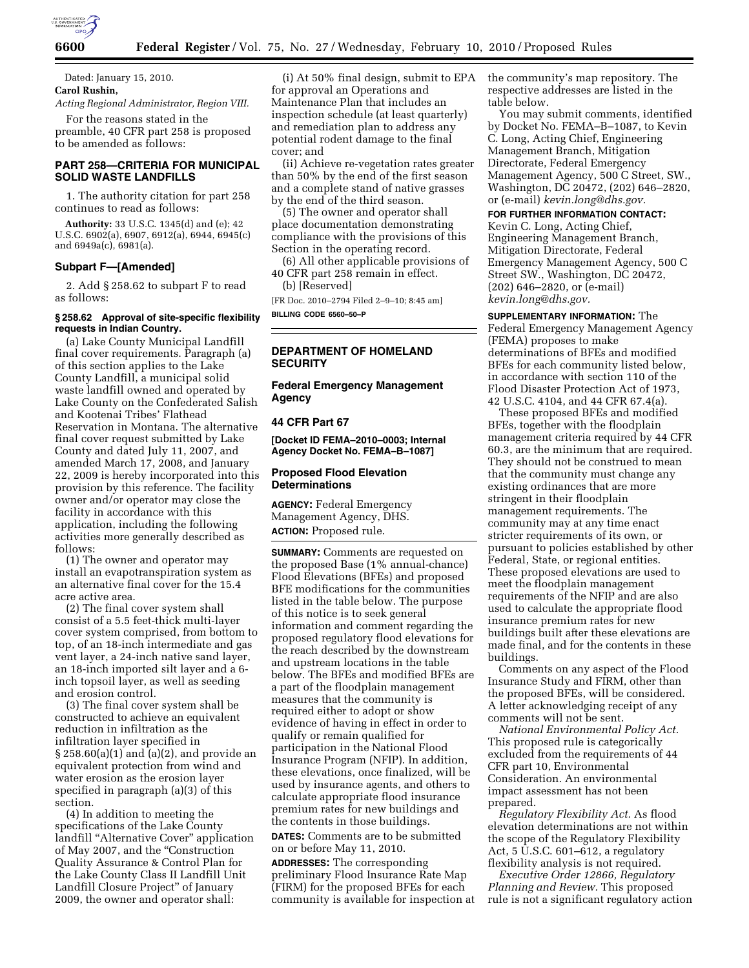

Dated: January 15, 2010. **Carol Rushin,** 

*Acting Regional Administrator, Region VIII.* 

For the reasons stated in the preamble, 40 CFR part 258 is proposed to be amended as follows:

# **PART 258—CRITERIA FOR MUNICIPAL SOLID WASTE LANDFILLS**

1. The authority citation for part 258 continues to read as follows:

**Authority:** 33 U.S.C. 1345(d) and (e); 42 U.S.C. 6902(a), 6907, 6912(a), 6944, 6945(c) and 6949a(c), 6981(a).

## **Subpart F—[Amended]**

2. Add § 258.62 to subpart F to read as follows:

## **§ 258.62 Approval of site-specific flexibility requests in Indian Country.**

(a) Lake County Municipal Landfill final cover requirements. Paragraph (a) of this section applies to the Lake County Landfill, a municipal solid waste landfill owned and operated by Lake County on the Confederated Salish and Kootenai Tribes' Flathead Reservation in Montana. The alternative final cover request submitted by Lake County and dated July 11, 2007, and amended March 17, 2008, and January 22, 2009 is hereby incorporated into this provision by this reference. The facility owner and/or operator may close the facility in accordance with this application, including the following activities more generally described as follows:

(1) The owner and operator may install an evapotranspiration system as an alternative final cover for the 15.4 acre active area.

(2) The final cover system shall consist of a 5.5 feet-thick multi-layer cover system comprised, from bottom to top, of an 18-inch intermediate and gas vent layer, a 24-inch native sand layer, an 18-inch imported silt layer and a 6 inch topsoil layer, as well as seeding and erosion control.

(3) The final cover system shall be constructed to achieve an equivalent reduction in infiltration as the infiltration layer specified in § 258.60(a)(1) and (a)(2), and provide an equivalent protection from wind and water erosion as the erosion layer specified in paragraph (a)(3) of this section.

(4) In addition to meeting the specifications of the Lake County landfill ''Alternative Cover'' application of May 2007, and the ''Construction Quality Assurance & Control Plan for the Lake County Class II Landfill Unit Landfill Closure Project'' of January 2009, the owner and operator shall:

(i) At 50% final design, submit to EPA for approval an Operations and Maintenance Plan that includes an inspection schedule (at least quarterly) and remediation plan to address any potential rodent damage to the final cover; and

(ii) Achieve re-vegetation rates greater than 50% by the end of the first season and a complete stand of native grasses by the end of the third season.

(5) The owner and operator shall place documentation demonstrating compliance with the provisions of this Section in the operating record.

(6) All other applicable provisions of 40 CFR part 258 remain in effect. (b) [Reserved]

[FR Doc. 2010–2794 Filed 2–9–10; 8:45 am] **BILLING CODE 6560–50–P** 

# **DEPARTMENT OF HOMELAND SECURITY**

**Federal Emergency Management Agency** 

# **44 CFR Part 67**

**[Docket ID FEMA–2010–0003; Internal Agency Docket No. FEMA–B–1087]** 

## **Proposed Flood Elevation Determinations**

**AGENCY:** Federal Emergency Management Agency, DHS. **ACTION:** Proposed rule.

**SUMMARY:** Comments are requested on the proposed Base (1% annual-chance) Flood Elevations (BFEs) and proposed BFE modifications for the communities listed in the table below. The purpose of this notice is to seek general information and comment regarding the proposed regulatory flood elevations for the reach described by the downstream and upstream locations in the table below. The BFEs and modified BFEs are a part of the floodplain management measures that the community is required either to adopt or show evidence of having in effect in order to qualify or remain qualified for participation in the National Flood Insurance Program (NFIP). In addition, these elevations, once finalized, will be used by insurance agents, and others to calculate appropriate flood insurance premium rates for new buildings and the contents in those buildings.

**DATES:** Comments are to be submitted on or before May 11, 2010.

**ADDRESSES:** The corresponding preliminary Flood Insurance Rate Map (FIRM) for the proposed BFEs for each community is available for inspection at the community's map repository. The respective addresses are listed in the table below.

You may submit comments, identified by Docket No. FEMA–B–1087, to Kevin C. Long, Acting Chief, Engineering Management Branch, Mitigation Directorate, Federal Emergency Management Agency, 500 C Street, SW., Washington, DC 20472, (202) 646–2820, or (e-mail) *kevin.long@dhs.gov.* 

### **FOR FURTHER INFORMATION CONTACT:**

Kevin C. Long, Acting Chief, Engineering Management Branch, Mitigation Directorate, Federal Emergency Management Agency, 500 C Street SW., Washington, DC 20472, (202) 646–2820, or (e-mail) *kevin.long@dhs.gov.* 

**SUPPLEMENTARY INFORMATION:** The Federal Emergency Management Agency (FEMA) proposes to make determinations of BFEs and modified BFEs for each community listed below, in accordance with section 110 of the Flood Disaster Protection Act of 1973, 42 U.S.C. 4104, and 44 CFR 67.4(a).

These proposed BFEs and modified BFEs, together with the floodplain management criteria required by 44 CFR 60.3, are the minimum that are required. They should not be construed to mean that the community must change any existing ordinances that are more stringent in their floodplain management requirements. The community may at any time enact stricter requirements of its own, or pursuant to policies established by other Federal, State, or regional entities. These proposed elevations are used to meet the floodplain management requirements of the NFIP and are also used to calculate the appropriate flood insurance premium rates for new buildings built after these elevations are made final, and for the contents in these buildings.

Comments on any aspect of the Flood Insurance Study and FIRM, other than the proposed BFEs, will be considered. A letter acknowledging receipt of any comments will not be sent.

*National Environmental Policy Act.*  This proposed rule is categorically excluded from the requirements of 44 CFR part 10, Environmental Consideration. An environmental impact assessment has not been prepared.

*Regulatory Flexibility Act.* As flood elevation determinations are not within the scope of the Regulatory Flexibility Act, 5 U.S.C. 601–612, a regulatory flexibility analysis is not required.

*Executive Order 12866, Regulatory Planning and Review.* This proposed rule is not a significant regulatory action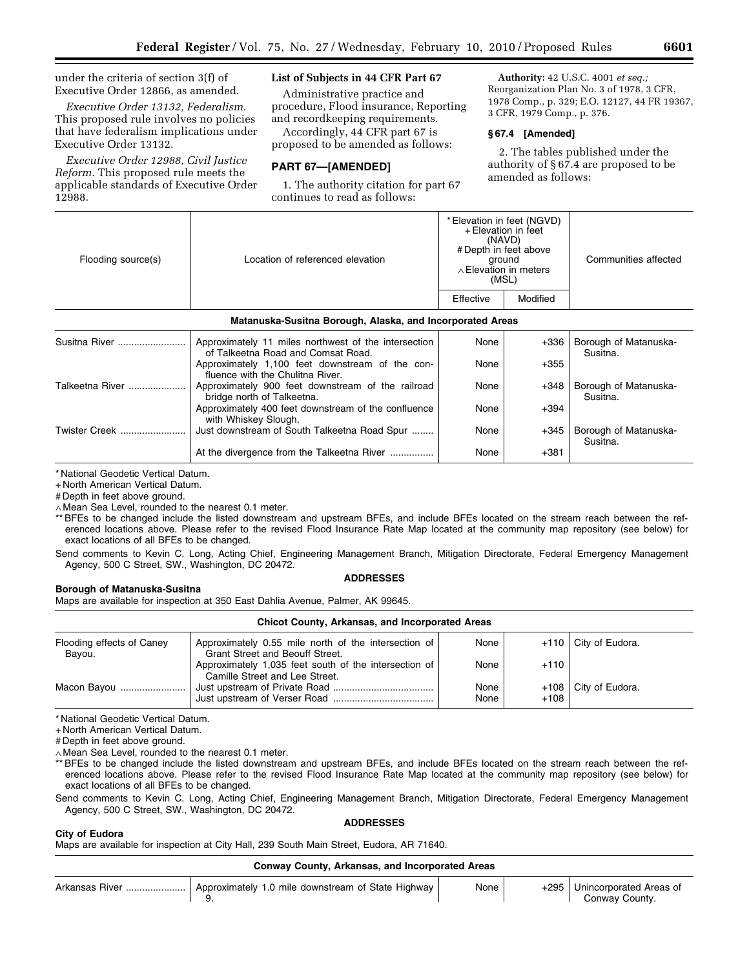under the criteria of section 3(f) of Executive Order 12866, as amended.

*Executive Order 13132, Federalism.*  This proposed rule involves no policies that have federalism implications under Executive Order 13132.

*Executive Order 12988, Civil Justice Reform.* This proposed rule meets the applicable standards of Executive Order 12988.

# **List of Subjects in 44 CFR Part 67**

Administrative practice and procedure, Flood insurance, Reporting and recordkeeping requirements.

Accordingly, 44 CFR part 67 is proposed to be amended as follows:

# **PART 67—[AMENDED]**

1. The authority citation for part 67 continues to read as follows:

**Authority:** 42 U.S.C. 4001 *et seq.;*  Reorganization Plan No. 3 of 1978, 3 CFR, 1978 Comp., p. 329; E.O. 12127, 44 FR 19367, 3 CFR, 1979 Comp., p. 376.

## **§ 67.4 [Amended]**

2. The tables published under the authority of § 67.4 are proposed to be amended as follows:

| Flooding source(s)   | Location of referenced elevation                                                           | * Elevation in feet (NGVD)<br>+ Elevation in feet<br>(NAVD)<br># Depth in feet above<br>ground<br>$\wedge$ Elevation in meters<br>(MSL) |          | Communities affected              |
|----------------------|--------------------------------------------------------------------------------------------|-----------------------------------------------------------------------------------------------------------------------------------------|----------|-----------------------------------|
|                      |                                                                                            | Effective                                                                                                                               | Modified |                                   |
|                      | Matanuska-Susitna Borough, Alaska, and Incorporated Areas                                  |                                                                                                                                         |          |                                   |
| Susitna River        | Approximately 11 miles northwest of the intersection<br>of Talkeetna Road and Comsat Road. | None                                                                                                                                    | +336     | Borough of Matanuska-<br>Susitna. |
|                      | Approximately 1,100 feet downstream of the con-<br>fluence with the Chulitna River.        | None                                                                                                                                    | $+355$   |                                   |
| Talkeetna River      | Approximately 900 feet downstream of the railroad<br>bridge north of Talkeetna.            | None                                                                                                                                    | $+348$   | Borough of Matanuska-<br>Susitna. |
|                      | Approximately 400 feet downstream of the confluence<br>with Whiskey Slough.                | None                                                                                                                                    | $+394$   |                                   |
| <b>Twister Creek</b> | Just downstream of South Talkeetna Road Spur                                               | None                                                                                                                                    | +345     | Borough of Matanuska-<br>Susitna. |

\* National Geodetic Vertical Datum.

+ North American Vertical Datum.

# Depth in feet above ground.

∧ Mean Sea Level, rounded to the nearest 0.1 meter.

\*\* BFEs to be changed include the listed downstream and upstream BFEs, and include BFEs located on the stream reach between the referenced locations above. Please refer to the revised Flood Insurance Rate Map located at the community map repository (see below) for exact locations of all BFEs to be changed.

At the divergence from the Talkeetna River .................. None | +381

Send comments to Kevin C. Long, Acting Chief, Engineering Management Branch, Mitigation Directorate, Federal Emergency Management Agency, 500 C Street, SW., Washington, DC 20472.

## **ADDRESSES**

## **Borough of Matanuska-Susitna**

Maps are available for inspection at 350 East Dahlia Avenue, Palmer, AK 99645.

| <b>Chicot County, Arkansas, and Incorporated Areas</b> |                                                                                                |              |        |                        |
|--------------------------------------------------------|------------------------------------------------------------------------------------------------|--------------|--------|------------------------|
| Flooding effects of Caney<br>Bayou.                    | Approximately 0.55 mile north of the intersection of<br><b>Grant Street and Beouff Street.</b> | None         |        | $+110$ City of Eudora. |
|                                                        | Approximately 1,035 feet south of the intersection of<br>Camille Street and Lee Street.        | None         | $+110$ |                        |
| Macon Bayou                                            |                                                                                                | None<br>None | $+108$ | +108   City of Eudora. |

\* National Geodetic Vertical Datum.

+ North American Vertical Datum.

# Depth in feet above ground.

∧ Mean Sea Level, rounded to the nearest 0.1 meter.

\*\* BFEs to be changed include the listed downstream and upstream BFEs, and include BFEs located on the stream reach between the referenced locations above. Please refer to the revised Flood Insurance Rate Map located at the community map repository (see below) for exact locations of all BFEs to be changed.

Send comments to Kevin C. Long, Acting Chief, Engineering Management Branch, Mitigation Directorate, Federal Emergency Management Agency, 500 C Street, SW., Washington, DC 20472.

#### **ADDRESSES**

**City of Eudora**  Maps are available for inspection at City Hall, 239 South Main Street, Eudora, AR 71640.

|  |  | Conway County, Arkansas, and Incorporated Areas |  |  |  |
|--|--|-------------------------------------------------|--|--|--|
|--|--|-------------------------------------------------|--|--|--|

| Arkansas<br>. Hiver | Approximately 1.0 mile downstream of State Highway | None | $-295$ | Unincorporated Areas of<br>∴ountv<br>`onway |
|---------------------|----------------------------------------------------|------|--------|---------------------------------------------|
|                     | J.                                                 |      |        |                                             |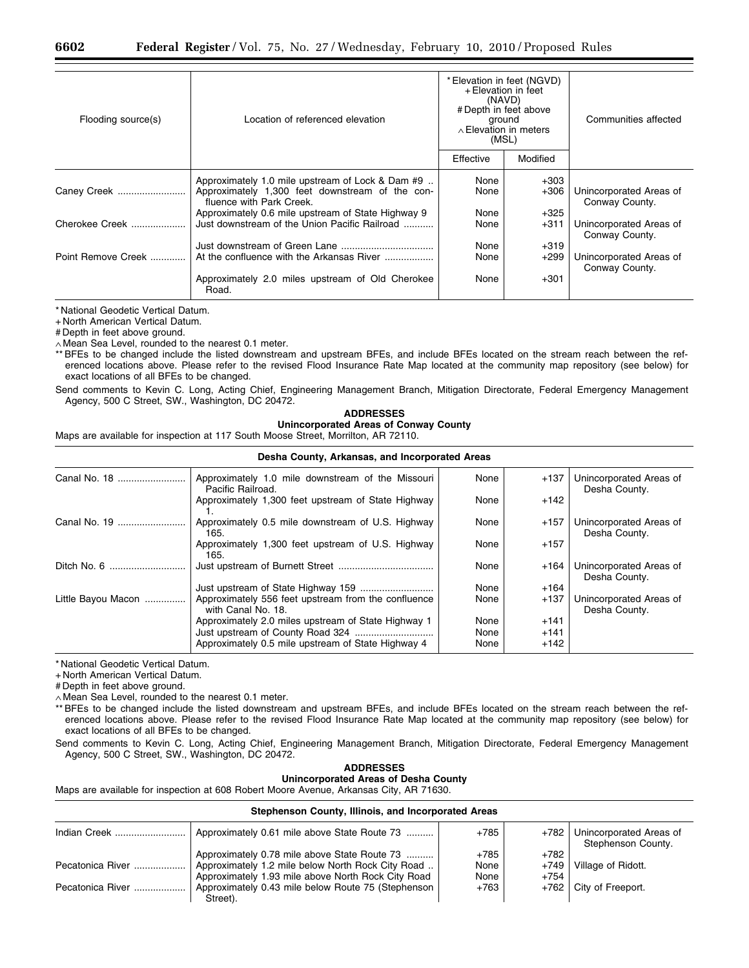| Flooding source(s) | Location of referenced elevation                                                                                                | + Elevation in feet<br>(NAVD)<br># Depth in feet above<br>ground<br>$\land$ Elevation in meters<br>(MSL) | * Elevation in feet (NGVD) | Communities affected                      |
|--------------------|---------------------------------------------------------------------------------------------------------------------------------|----------------------------------------------------------------------------------------------------------|----------------------------|-------------------------------------------|
|                    |                                                                                                                                 | Effective                                                                                                | Modified                   |                                           |
| Caney Creek        | Approximately 1.0 mile upstream of Lock & Dam #9<br>Approximately 1,300 feet downstream of the con-<br>fluence with Park Creek. | None<br>None                                                                                             | $+303$<br>$+306$           | Unincorporated Areas of<br>Conway County. |
| Cherokee Creek     | Approximately 0.6 mile upstream of State Highway 9<br>Just downstream of the Union Pacific Railroad                             | None<br>None                                                                                             | $+325$<br>$+311$           | Unincorporated Areas of<br>Conway County. |
| Point Remove Creek | At the confluence with the Arkansas River                                                                                       | None<br>None                                                                                             | $+319$<br>$+299$           | Unincorporated Areas of<br>Conway County. |
|                    | Approximately 2.0 miles upstream of Old Cherokee<br>Road.                                                                       | None                                                                                                     | $+301$                     |                                           |

+ North American Vertical Datum.

# Depth in feet above ground.

∧ Mean Sea Level, rounded to the nearest 0.1 meter.

\*\* BFEs to be changed include the listed downstream and upstream BFEs, and include BFEs located on the stream reach between the referenced locations above. Please refer to the revised Flood Insurance Rate Map located at the community map repository (see below) for exact locations of all BFEs to be changed.

Send comments to Kevin C. Long, Acting Chief, Engineering Management Branch, Mitigation Directorate, Federal Emergency Management Agency, 500 C Street, SW., Washington, DC 20472.

### **ADDRESSES**

**Unincorporated Areas of Conway County** 

Maps are available for inspection at 117 South Moose Street, Morrilton, AR 72110.

| Desha County, Arkansas, and Incorporated Areas |                                                                           |      |        |                                          |
|------------------------------------------------|---------------------------------------------------------------------------|------|--------|------------------------------------------|
| Canal No. 18                                   | Approximately 1.0 mile downstream of the Missouri<br>Pacific Railroad.    | None | $+137$ | Unincorporated Areas of<br>Desha County. |
|                                                | Approximately 1,300 feet upstream of State Highway                        | None | $+142$ |                                          |
| Canal No. 19                                   | Approximately 0.5 mile downstream of U.S. Highway<br>165.                 | None | $+157$ | Unincorporated Areas of<br>Desha County. |
|                                                | Approximately 1,300 feet upstream of U.S. Highway<br>165.                 | None | $+157$ |                                          |
|                                                |                                                                           | None | $+164$ | Unincorporated Areas of<br>Desha County. |
|                                                |                                                                           | None | $+164$ |                                          |
| Little Bayou Macon                             | Approximately 556 feet upstream from the confluence<br>with Canal No. 18. | None | $+137$ | Unincorporated Areas of<br>Desha County. |
|                                                | Approximately 2.0 miles upstream of State Highway 1                       | None | $+141$ |                                          |
|                                                |                                                                           | None | $+141$ |                                          |
|                                                | Approximately 0.5 mile upstream of State Highway 4                        | None | $+142$ |                                          |

\* National Geodetic Vertical Datum.

+ North American Vertical Datum.

# Depth in feet above ground.

∧ Mean Sea Level, rounded to the nearest 0.1 meter.

\*\* BFEs to be changed include the listed downstream and upstream BFEs, and include BFEs located on the stream reach between the referenced locations above. Please refer to the revised Flood Insurance Rate Map located at the community map repository (see below) for exact locations of all BFEs to be changed.

Send comments to Kevin C. Long, Acting Chief, Engineering Management Branch, Mitigation Directorate, Federal Emergency Management Agency, 500 C Street, SW., Washington, DC 20472.

> **ADDRESSES Unincorporated Areas of Desha County**

Maps are available for inspection at 608 Robert Moore Avenue, Arkansas City, AR 71630.

### **Stephenson County, Illinois, and Incorporated Areas**

| Indian Creek     | Approximately 0.61 mile above State Route 73       | $+785$ | +782   | Unincorporated Areas of<br>Stephenson County. |
|------------------|----------------------------------------------------|--------|--------|-----------------------------------------------|
|                  | Approximately 0.78 mile above State Route 73       | $+785$ | $+782$ |                                               |
| Pecatonica River | Approximately 1.2 mile below North Rock City Road  | None   |        | $+749$   Village of Ridott.                   |
|                  | Approximately 1.93 mile above North Rock City Road | None   | $+754$ |                                               |
| Pecatonica River | Approximately 0.43 mile below Route 75 (Stephenson | +763   |        | $+762$ City of Freeport.                      |
|                  | Street).                                           |        |        |                                               |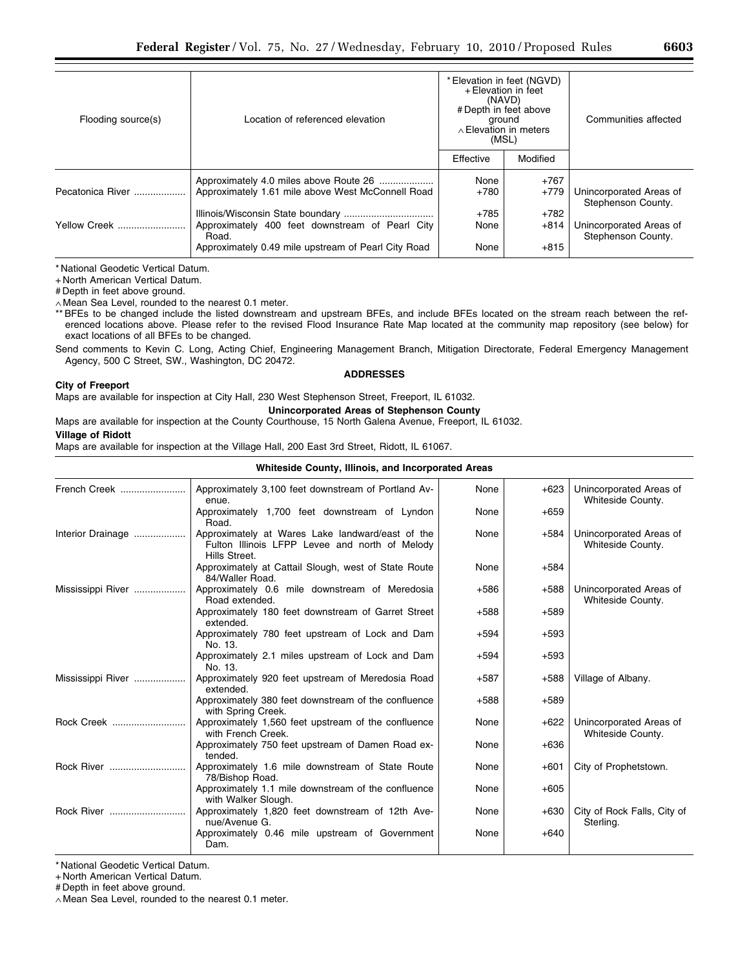| Flooding source(s) | Location of referenced elevation                                                                                | * Elevation in feet (NGVD)<br>+ Elevation in feet<br>(NAVD)<br># Depth in feet above<br>ground<br>$\land$ Elevation in meters<br>(MSL) |                            | Communities affected                          |
|--------------------|-----------------------------------------------------------------------------------------------------------------|----------------------------------------------------------------------------------------------------------------------------------------|----------------------------|-----------------------------------------------|
|                    |                                                                                                                 | Effective                                                                                                                              | Modified                   |                                               |
| Pecatonica River   | Approximately 4.0 miles above Route 26<br>Approximately 1.61 mile above West McConnell Road                     | None<br>+780<br>$+785$                                                                                                                 | $+767$<br>$+779$<br>$+782$ | Unincorporated Areas of<br>Stephenson County. |
| Yellow Creek       | Approximately 400 feet downstream of Pearl City<br>Road.<br>Approximately 0.49 mile upstream of Pearl City Road | None<br>None                                                                                                                           | $+814$<br>$+815$           | Unincorporated Areas of<br>Stephenson County. |

+ North American Vertical Datum.

# Depth in feet above ground.

∧ Mean Sea Level, rounded to the nearest 0.1 meter.

\*\* BFEs to be changed include the listed downstream and upstream BFEs, and include BFEs located on the stream reach between the referenced locations above. Please refer to the revised Flood Insurance Rate Map located at the community map repository (see below) for exact locations of all BFEs to be changed.

Send comments to Kevin C. Long, Acting Chief, Engineering Management Branch, Mitigation Directorate, Federal Emergency Management Agency, 500 C Street, SW., Washington, DC 20472.

### **ADDRESSES**

#### **City of Freeport**

Maps are available for inspection at City Hall, 230 West Stephenson Street, Freeport, IL 61032.

# **Unincorporated Areas of Stephenson County**

Maps are available for inspection at the County Courthouse, 15 North Galena Avenue, Freeport, IL 61032.

## **Village of Ridott**

Maps are available for inspection at the Village Hall, 200 East 3rd Street, Ridott, IL 61067.

### **Whiteside County, Illinois, and Incorporated Areas**

| French Creek      | Approximately 3,100 feet downstream of Portland Av-<br>enue.                                                        | None   | $+623$ | Unincorporated Areas of<br>Whiteside County. |
|-------------------|---------------------------------------------------------------------------------------------------------------------|--------|--------|----------------------------------------------|
|                   | Approximately 1,700 feet downstream of Lyndon<br>Road.                                                              | None   | $+659$ |                                              |
| Interior Drainage | Approximately at Wares Lake landward/east of the<br>Fulton Illinois LFPP Levee and north of Melody<br>Hills Street. | None   | +584   | Unincorporated Areas of<br>Whiteside County. |
|                   | Approximately at Cattail Slough, west of State Route<br>84/Waller Road.                                             | None   | +584   |                                              |
| Mississippi River | Approximately 0.6 mile downstream of Meredosia<br>Road extended.                                                    | $+586$ | $+588$ | Unincorporated Areas of<br>Whiteside County. |
|                   | Approximately 180 feet downstream of Garret Street<br>extended.                                                     | $+588$ | $+589$ |                                              |
|                   | Approximately 780 feet upstream of Lock and Dam<br>No. 13.                                                          | $+594$ | $+593$ |                                              |
|                   | Approximately 2.1 miles upstream of Lock and Dam<br>No. 13.                                                         | $+594$ | $+593$ |                                              |
| Mississippi River | Approximately 920 feet upstream of Meredosia Road<br>extended.                                                      | $+587$ | $+588$ | Village of Albany.                           |
|                   | Approximately 380 feet downstream of the confluence<br>with Spring Creek.                                           | $+588$ | $+589$ |                                              |
| Rock Creek        | Approximately 1,560 feet upstream of the confluence<br>with French Creek.                                           | None   | $+622$ | Unincorporated Areas of<br>Whiteside County. |
|                   | Approximately 750 feet upstream of Damen Road ex-<br>tended.                                                        | None   | $+636$ |                                              |
|                   | Approximately 1.6 mile downstream of State Route<br>78/Bishop Road.                                                 | None   | $+601$ | City of Prophetstown.                        |
|                   | Approximately 1.1 mile downstream of the confluence<br>with Walker Slough.                                          | None   | $+605$ |                                              |
|                   | Approximately 1,820 feet downstream of 12th Ave-<br>nue/Avenue G.                                                   | None   | $+630$ | City of Rock Falls, City of<br>Sterling.     |
|                   | Approximately 0.46 mile upstream of Government<br>Dam.                                                              | None   | $+640$ |                                              |

\* National Geodetic Vertical Datum.

+ North American Vertical Datum.

# Depth in feet above ground.

∧ Mean Sea Level, rounded to the nearest 0.1 meter.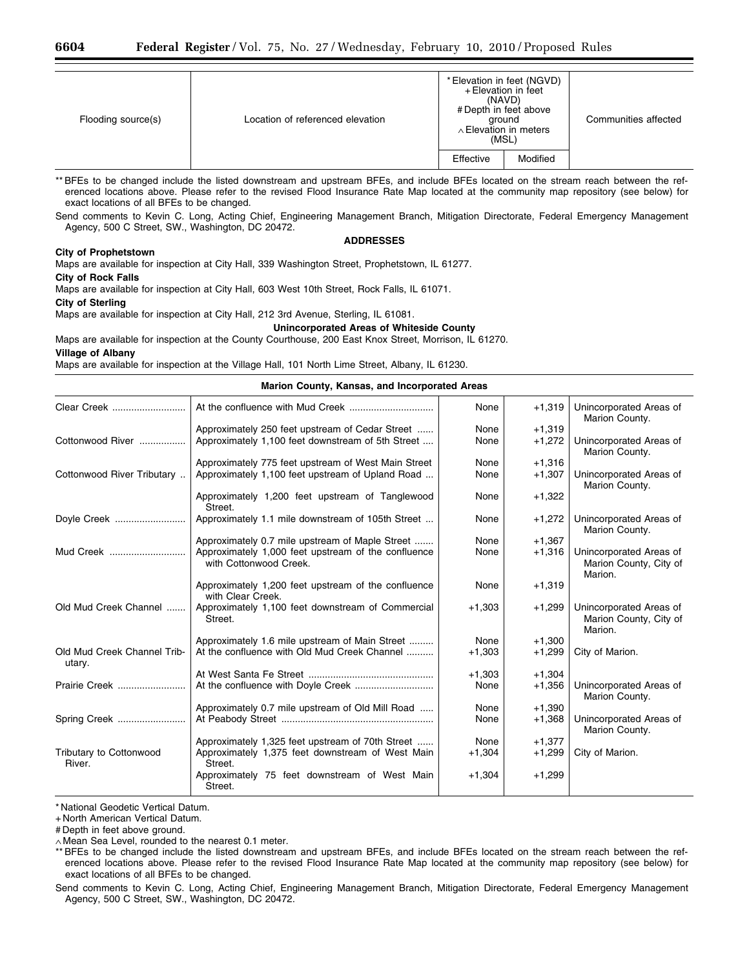| Flooding source(s) | Location of referenced elevation | (MSL)     | * Elevation in feet (NGVD)<br>+ Elevation in feet<br>(NAVD)<br># Depth in feet above<br>ground<br>$\wedge$ Elevation in meters | Communities affected |
|--------------------|----------------------------------|-----------|--------------------------------------------------------------------------------------------------------------------------------|----------------------|
|                    |                                  | Effective | Modified                                                                                                                       |                      |

\*\* BFEs to be changed include the listed downstream and upstream BFEs, and include BFEs located on the stream reach between the referenced locations above. Please refer to the revised Flood Insurance Rate Map located at the community map repository (see below) for exact locations of all BFEs to be changed.

Send comments to Kevin C. Long, Acting Chief, Engineering Management Branch, Mitigation Directorate, Federal Emergency Management Agency, 500 C Street, SW., Washington, DC 20472.

### **ADDRESSES**

### **City of Prophetstown**

Maps are available for inspection at City Hall, 339 Washington Street, Prophetstown, IL 61277.

**City of Rock Falls**  Maps are available for inspection at City Hall, 603 West 10th Street, Rock Falls, IL 61071.

# **City of Sterling**

Maps are available for inspection at City Hall, 212 3rd Avenue, Sterling, IL 61081.

### **Unincorporated Areas of Whiteside County**

Maps are available for inspection at the County Courthouse, 200 East Knox Street, Morrison, IL 61270. **Village of Albany** 

Maps are available for inspection at the Village Hall, 101 North Lime Street, Albany, IL 61230.

### **Marion County, Kansas, and Incorporated Areas**

| Clear Creek                           |                                                                               | None     | $+1,319$ | Unincorporated Areas of<br>Marion County.                    |
|---------------------------------------|-------------------------------------------------------------------------------|----------|----------|--------------------------------------------------------------|
|                                       | Approximately 250 feet upstream of Cedar Street                               | None     | $+1,319$ |                                                              |
| Cottonwood River                      | Approximately 1,100 feet downstream of 5th Street                             | None     | $+1,272$ | Unincorporated Areas of<br>Marion County.                    |
|                                       | Approximately 775 feet upstream of West Main Street                           | None     | $+1,316$ |                                                              |
| Cottonwood River Tributary.           | Approximately 1,100 feet upstream of Upland Road                              | None     | $+1,307$ | Unincorporated Areas of<br>Marion County.                    |
|                                       | Approximately 1,200 feet upstream of Tanglewood<br>Street.                    | None     | $+1,322$ |                                                              |
| Doyle Creek                           | Approximately 1.1 mile downstream of 105th Street                             | None     | $+1,272$ | Unincorporated Areas of<br>Marion County.                    |
|                                       | Approximately 0.7 mile upstream of Maple Street                               | None     | $+1,367$ |                                                              |
| Mud Creek                             | Approximately 1,000 feet upstream of the confluence<br>with Cottonwood Creek. | None     | $+1,316$ | Unincorporated Areas of<br>Marion County, City of<br>Marion. |
|                                       | Approximately 1,200 feet upstream of the confluence<br>with Clear Creek.      | None     | $+1,319$ |                                                              |
| Old Mud Creek Channel                 | Approximately 1,100 feet downstream of Commercial<br>Street.                  | $+1,303$ | $+1,299$ | Unincorporated Areas of<br>Marion County, City of<br>Marion. |
|                                       | Approximately 1.6 mile upstream of Main Street                                | None     | $+1,300$ |                                                              |
| Old Mud Creek Channel Trib-<br>utary. | At the confluence with Old Mud Creek Channel                                  | $+1,303$ | $+1,299$ | City of Marion.                                              |
|                                       |                                                                               | $+1,303$ | $+1,304$ |                                                              |
| Prairie Creek                         |                                                                               | None     | $+1,356$ | Unincorporated Areas of<br>Marion County.                    |
|                                       | Approximately 0.7 mile upstream of Old Mill Road                              | None     | $+1,390$ |                                                              |
| Spring Creek                          |                                                                               | None     | $+1,368$ | Unincorporated Areas of<br>Marion County.                    |
|                                       | Approximately 1,325 feet upstream of 70th Street                              | None     | $+1,377$ |                                                              |
| Tributary to Cottonwood<br>River.     | Approximately 1,375 feet downstream of West Main<br>Street.                   | $+1,304$ | $+1,299$ | City of Marion.                                              |
|                                       | Approximately 75 feet downstream of West Main<br>Street.                      | $+1,304$ | $+1,299$ |                                                              |

\* National Geodetic Vertical Datum.

+ North American Vertical Datum.

# Depth in feet above ground.

∧ Mean Sea Level, rounded to the nearest 0.1 meter.

\*\* BFEs to be changed include the listed downstream and upstream BFEs, and include BFEs located on the stream reach between the referenced locations above. Please refer to the revised Flood Insurance Rate Map located at the community map repository (see below) for exact locations of all BFEs to be changed.

Send comments to Kevin C. Long, Acting Chief, Engineering Management Branch, Mitigation Directorate, Federal Emergency Management Agency, 500 C Street, SW., Washington, DC 20472.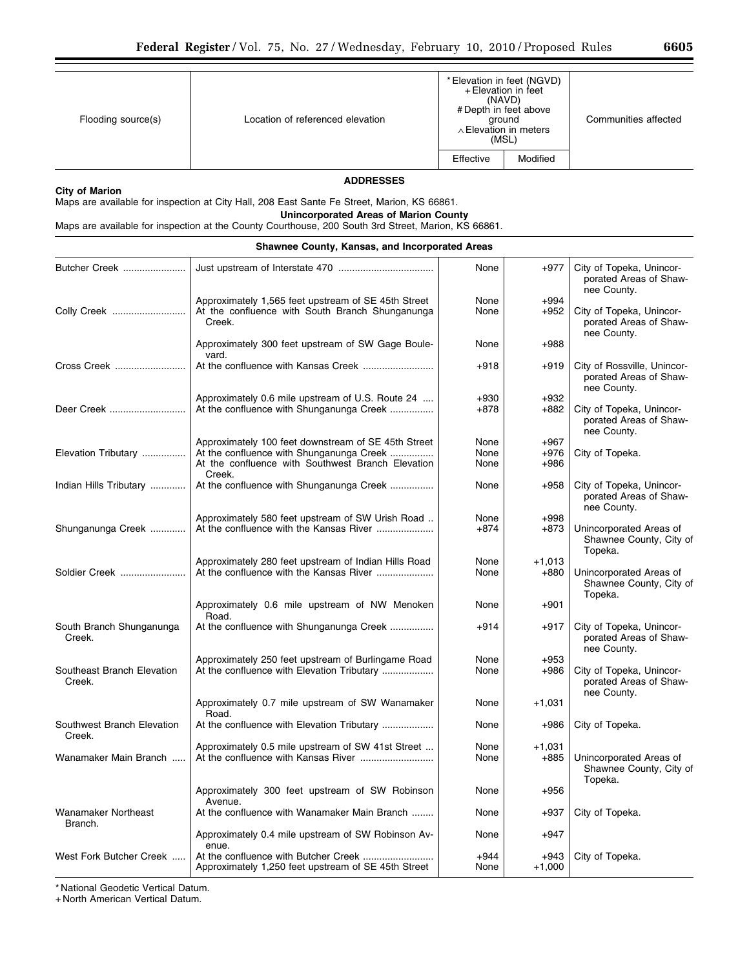|  |  | Flooding source(s) |  |
|--|--|--------------------|--|
|--|--|--------------------|--|

Location of referenced elevation

(NAVD) # Depth in feet above ground ∧Elevation in meters (MSL) Effective | Modified

Communities affected

## **City of Marion**

**ADDRESSES** 

Maps are available for inspection at City Hall, 208 East Sante Fe Street, Marion, KS 66861.

**Unincorporated Areas of Marion County**  Maps are available for inspection at the County Courthouse, 200 South 3rd Street, Marion, KS 66861.

|                                       | <b>Shawnee County, Kansas, and Incorporated Areas</b>                                                            |                |                  |                                                                      |
|---------------------------------------|------------------------------------------------------------------------------------------------------------------|----------------|------------------|----------------------------------------------------------------------|
| Butcher Creek                         |                                                                                                                  | None           | $+977$           | City of Topeka, Unincor-<br>porated Areas of Shaw-<br>nee County.    |
| Colly Creek                           | Approximately 1,565 feet upstream of SE 45th Street<br>At the confluence with South Branch Shunganunga<br>Creek. | None<br>None   | $+994$<br>$+952$ | City of Topeka, Unincor-<br>porated Areas of Shaw-<br>nee County.    |
|                                       | Approximately 300 feet upstream of SW Gage Boule-<br>vard.                                                       | None           | $+988$           |                                                                      |
| Cross Creek                           |                                                                                                                  | $+918$         | $+919$           | City of Rossville, Unincor-<br>porated Areas of Shaw-<br>nee County. |
|                                       | Approximately 0.6 mile upstream of U.S. Route 24                                                                 | $+930$         | $+932$           |                                                                      |
| Deer Creek                            | At the confluence with Shunganunga Creek                                                                         | $+878$         | $+882$           | City of Topeka, Unincor-<br>porated Areas of Shaw-<br>nee County.    |
|                                       | Approximately 100 feet downstream of SE 45th Street                                                              | None           | $+967$           |                                                                      |
| Elevation Tributary                   | At the confluence with Shunganunga Creek                                                                         | None           | $+976$           | City of Topeka.                                                      |
|                                       | At the confluence with Southwest Branch Elevation<br>Creek.                                                      | None           | $+986$           |                                                                      |
| Indian Hills Tributary                | At the confluence with Shunganunga Creek                                                                         | None           | $+958$           | City of Topeka, Unincor-<br>porated Areas of Shaw-<br>nee County.    |
|                                       | Approximately 580 feet upstream of SW Urish Road                                                                 | None           | $+998$           |                                                                      |
| Shunganunga Creek                     |                                                                                                                  | $+874$         | $+873$           | Unincorporated Areas of<br>Shawnee County, City of<br>Topeka.        |
|                                       | Approximately 280 feet upstream of Indian Hills Road                                                             | None           | $+1,013$         |                                                                      |
| Soldier Creek                         | At the confluence with the Kansas River                                                                          | None           | $+880$           | Unincorporated Areas of<br>Shawnee County, City of<br>Topeka.        |
|                                       | Approximately 0.6 mile upstream of NW Menoken<br>Road.                                                           | None           | $+901$           |                                                                      |
| South Branch Shunganunga<br>Creek.    | At the confluence with Shunganunga Creek                                                                         | $+914$         | $+917$           | City of Topeka, Unincor-<br>porated Areas of Shaw-<br>nee County.    |
|                                       | Approximately 250 feet upstream of Burlingame Road                                                               | None           | $+953$           |                                                                      |
| Southeast Branch Elevation<br>Creek.  | At the confluence with Elevation Tributary                                                                       | None           | $+986$           | City of Topeka, Unincor-<br>porated Areas of Shaw-<br>nee County.    |
|                                       | Approximately 0.7 mile upstream of SW Wanamaker<br>Road.                                                         | None           | $+1,031$         |                                                                      |
| Southwest Branch Elevation<br>Creek.  | At the confluence with Elevation Tributary                                                                       | None           | $+986$           | City of Topeka.                                                      |
|                                       | Approximately 0.5 mile upstream of SW 41st Street                                                                | None           | $+1,031$         |                                                                      |
| Wanamaker Main Branch                 |                                                                                                                  | None           | $+885$           | Unincorporated Areas of<br>Shawnee County, City of<br>Topeka.        |
|                                       | Approximately 300 feet upstream of SW Robinson<br>Avenue.                                                        | None           | $+956$           |                                                                      |
| <b>Wanamaker Northeast</b><br>Branch. | At the confluence with Wanamaker Main Branch                                                                     | None           | $+937$           | City of Topeka.                                                      |
|                                       | Approximately 0.4 mile upstream of SW Robinson Av-<br>enue.                                                      | None           | $+947$           |                                                                      |
| West Fork Butcher Creek               | Approximately 1,250 feet upstream of SE 45th Street                                                              | $+944$<br>None | +943<br>$+1,000$ | City of Topeka.                                                      |

\* National Geodetic Vertical Datum.

+ North American Vertical Datum.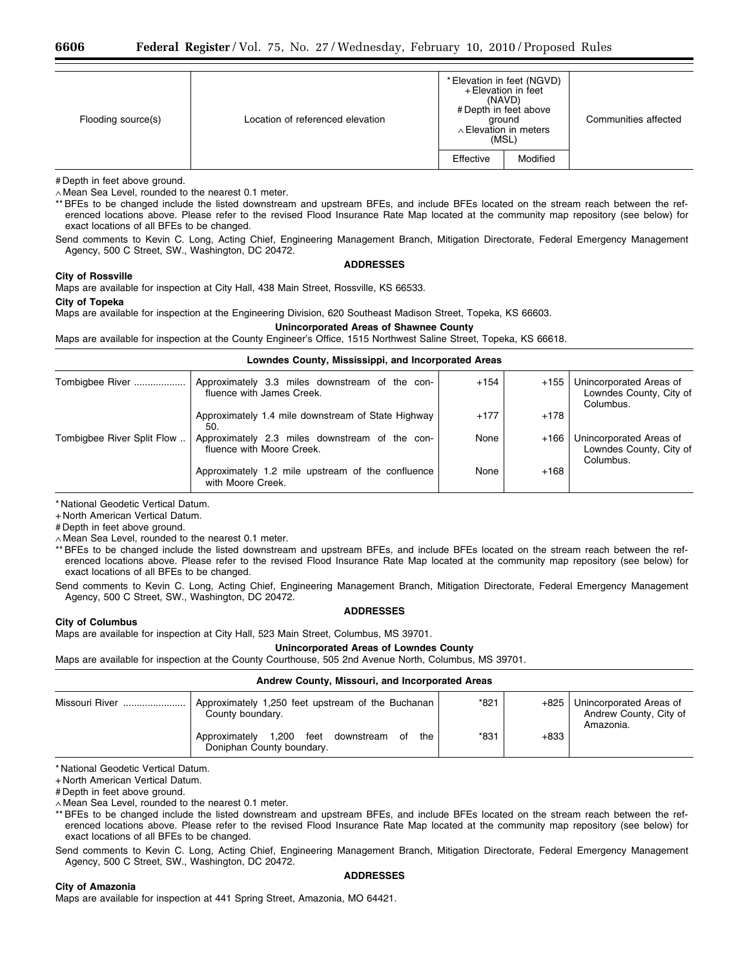| Flooding source(s) | Location of referenced elevation |           | * Elevation in feet (NGVD)<br>+ Elevation in feet<br>(NAVD)<br># Depth in feet above<br>ground<br>$\land$ Elevation in meters<br>(MSL) | Communities affected |
|--------------------|----------------------------------|-----------|----------------------------------------------------------------------------------------------------------------------------------------|----------------------|
|                    |                                  | Effective | Modified                                                                                                                               |                      |

# Depth in feet above ground.

∧ Mean Sea Level, rounded to the nearest 0.1 meter.

\*\* BFEs to be changed include the listed downstream and upstream BFEs, and include BFEs located on the stream reach between the referenced locations above. Please refer to the revised Flood Insurance Rate Map located at the community map repository (see below) for exact locations of all BFEs to be changed.

Send comments to Kevin C. Long, Acting Chief, Engineering Management Branch, Mitigation Directorate, Federal Emergency Management Agency, 500 C Street, SW., Washington, DC 20472.

## **City of Rossville**

**ADDRESSES** 

Maps are available for inspection at City Hall, 438 Main Street, Rossville, KS 66533.

### **City of Topeka**

Maps are available for inspection at the Engineering Division, 620 Southeast Madison Street, Topeka, KS 66603.

## **Unincorporated Areas of Shawnee County**

Maps are available for inspection at the County Engineer's Office, 1515 Northwest Saline Street, Topeka, KS 66618.

## **Lowndes County, Mississippi, and Incorporated Areas**

| Tombigbee River            | Approximately 3.3 miles downstream of the con-<br>fluence with James Creek. | $+154$ | $+155$ | Unincorporated Areas of<br>Lowndes County, City of<br>Columbus. |
|----------------------------|-----------------------------------------------------------------------------|--------|--------|-----------------------------------------------------------------|
|                            | Approximately 1.4 mile downstream of State Highway<br>50.                   | $+177$ | $+178$ |                                                                 |
| Tombigbee River Split Flow | Approximately 2.3 miles downstream of the con-<br>fluence with Moore Creek. | None   | +166   | Unincorporated Areas of<br>Lowndes County, City of<br>Columbus. |
|                            | Approximately 1.2 mile upstream of the confluence<br>with Moore Creek.      | None   | $+168$ |                                                                 |

\* National Geodetic Vertical Datum.

+ North American Vertical Datum.

# Depth in feet above ground.

∧ Mean Sea Level, rounded to the nearest 0.1 meter.

\*\* BFEs to be changed include the listed downstream and upstream BFEs, and include BFEs located on the stream reach between the referenced locations above. Please refer to the revised Flood Insurance Rate Map located at the community map repository (see below) for exact locations of all BFEs to be changed.

Send comments to Kevin C. Long, Acting Chief, Engineering Management Branch, Mitigation Directorate, Federal Emergency Management Agency, 500 C Street, SW., Washington, DC 20472.

## **ADDRESSES**

## **City of Columbus**

Maps are available for inspection at City Hall, 523 Main Street, Columbus, MS 39701.

## **Unincorporated Areas of Lowndes County**

Maps are available for inspection at the County Courthouse, 505 2nd Avenue North, Columbus, MS 39701.

## **Andrew County, Missouri, and Incorporated Areas**

| Missouri River | Approximately 1,250 feet upstream of the Buchanan<br>County boundary.         | $*821$ | $+825$ | Unincorporated Areas of<br>Andrew County, City of<br>Amazonia. |
|----------------|-------------------------------------------------------------------------------|--------|--------|----------------------------------------------------------------|
|                | 1,200 feet downstream of<br>Approximately<br>the<br>Doniphan County boundary. | *831   | $+833$ |                                                                |

\* National Geodetic Vertical Datum.

+ North American Vertical Datum.

# Depth in feet above ground.

∧ Mean Sea Level, rounded to the nearest 0.1 meter.

\*\* BFEs to be changed include the listed downstream and upstream BFEs, and include BFEs located on the stream reach between the referenced locations above. Please refer to the revised Flood Insurance Rate Map located at the community map repository (see below) for exact locations of all BFEs to be changed.

Send comments to Kevin C. Long, Acting Chief, Engineering Management Branch, Mitigation Directorate, Federal Emergency Management Agency, 500 C Street, SW., Washington, DC 20472. **ADDRESSES** 

### **City of Amazonia**

Maps are available for inspection at 441 Spring Street, Amazonia, MO 64421.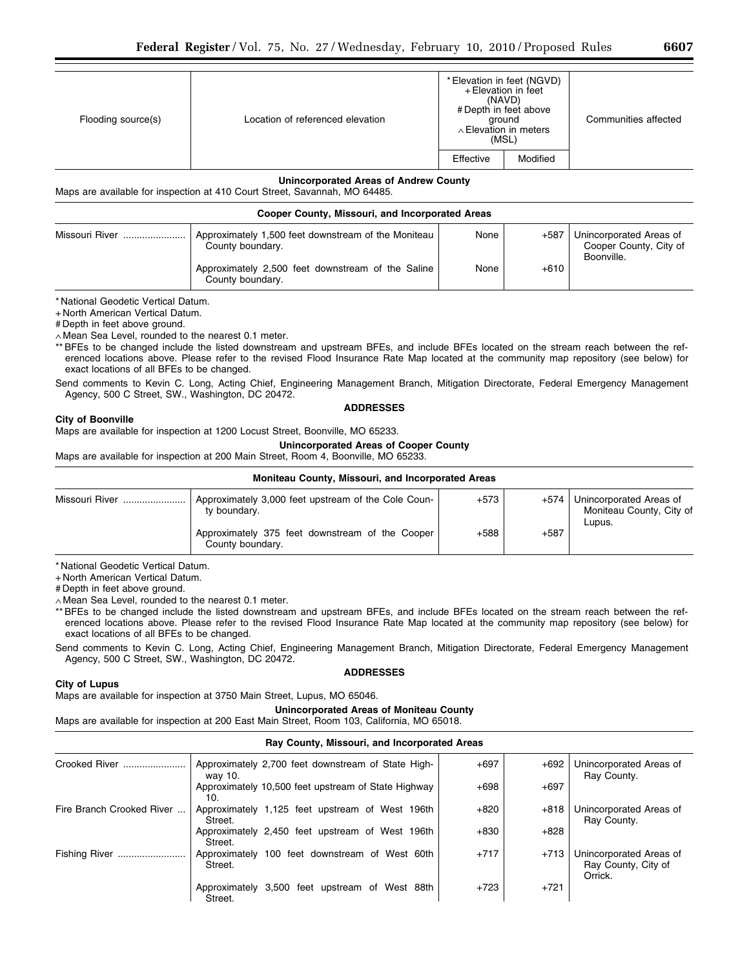| Flooding source(s) | Location of referenced elevation | * Elevation in feet (NGVD)<br>+ Elevation in feet<br>(NAVD)<br># Depth in feet above<br>ground<br>∧ Elevation in meters<br>(MSL) |          | Communities affected |
|--------------------|----------------------------------|----------------------------------------------------------------------------------------------------------------------------------|----------|----------------------|
|                    |                                  | Effective                                                                                                                        | Modified |                      |

## **Unincorporated Areas of Andrew County**

Maps are available for inspection at 410 Court Street, Savannah, MO 64485.

# **Cooper County, Missouri, and Incorporated Areas**

| Missouri River | Approximately 1,500 feet downstream of the Moniteau<br>County boundary. | None | +587   | Unincorporated Areas of<br>Cooper County, City of<br>Boonville. |  |  |
|----------------|-------------------------------------------------------------------------|------|--------|-----------------------------------------------------------------|--|--|
|                | Approximately 2,500 feet downstream of the Saline<br>County boundary.   | None | $+610$ |                                                                 |  |  |

\* National Geodetic Vertical Datum.

+ North American Vertical Datum.

# Depth in feet above ground.

∧ Mean Sea Level, rounded to the nearest 0.1 meter.

\*\* BFEs to be changed include the listed downstream and upstream BFEs, and include BFEs located on the stream reach between the referenced locations above. Please refer to the revised Flood Insurance Rate Map located at the community map repository (see below) for exact locations of all BFEs to be changed.

Send comments to Kevin C. Long, Acting Chief, Engineering Management Branch, Mitigation Directorate, Federal Emergency Management Agency, 500 C Street, SW., Washington, DC 20472. **ADDRESSES** 

## **City of Boonville**

Maps are available for inspection at 1200 Locust Street, Boonville, MO 65233.

**Unincorporated Areas of Cooper County** 

Maps are available for inspection at 200 Main Street, Room 4, Boonville, MO 65233.

### **Moniteau County, Missouri, and Incorporated Areas**

| Missouri River | Approximately 3,000 feet upstream of the Cole Coun-<br>ty boundary. | $+573$ | +574   | Unincorporated Areas of<br>Moniteau County, City of<br>Lupus. |
|----------------|---------------------------------------------------------------------|--------|--------|---------------------------------------------------------------|
|                | Approximately 375 feet downstream of the Cooper<br>County boundary. | $+588$ | $+587$ |                                                               |

\* National Geodetic Vertical Datum.

+ North American Vertical Datum.

# Depth in feet above ground.

∧ Mean Sea Level, rounded to the nearest 0.1 meter.

\*\* BFEs to be changed include the listed downstream and upstream BFEs, and include BFEs located on the stream reach between the referenced locations above. Please refer to the revised Flood Insurance Rate Map located at the community map repository (see below) for exact locations of all BFEs to be changed.

Send comments to Kevin C. Long, Acting Chief, Engineering Management Branch, Mitigation Directorate, Federal Emergency Management Agency, 500 C Street, SW., Washington, DC 20472.

# **ADDRESSES**

# **City of Lupus**

Maps are available for inspection at 3750 Main Street, Lupus, MO 65046.

**Unincorporated Areas of Moniteau County** 

Maps are available for inspection at 200 East Main Street, Room 103, California, MO 65018.

# **Ray County, Missouri, and Incorporated Areas**

| Crooked River             | way 10.                        | Approximately 2,700 feet downstream of State High-  | $+697$ | $+692$ | Unincorporated Areas of<br>Ray County.                    |
|---------------------------|--------------------------------|-----------------------------------------------------|--------|--------|-----------------------------------------------------------|
|                           | 10.                            | Approximately 10,500 feet upstream of State Highway | $+698$ | $+697$ |                                                           |
| Fire Branch Crooked River | Street.                        | Approximately 1,125 feet upstream of West 196th     | $+820$ | $+818$ | Unincorporated Areas of<br>Ray County.                    |
|                           | Street.                        | Approximately 2,450 feet upstream of West 196th     | $+830$ | $+828$ |                                                           |
| <b>Fishing River</b><br>  | Street.                        | Approximately 100 feet downstream of West 60th      | $+717$ | $+713$ | Unincorporated Areas of<br>Ray County, City of<br>Orrick. |
|                           | Approximately 3,500<br>Street. | feet upstream of West 88th                          | $+723$ | $+721$ |                                                           |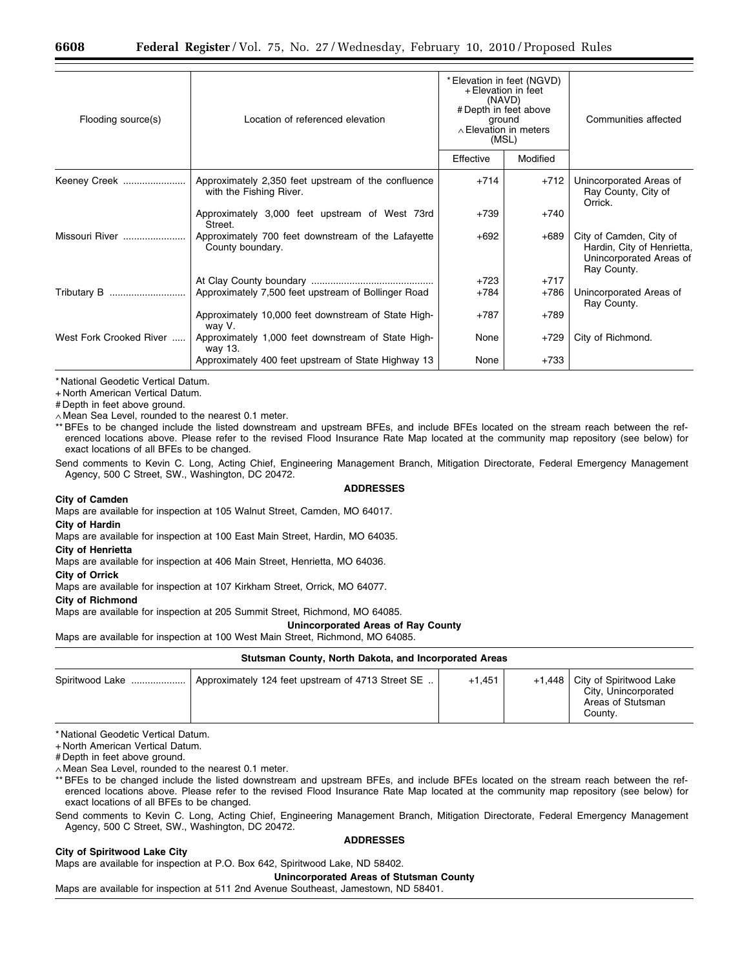| Flooding source(s)      | Location of referenced elevation                                               | + Elevation in feet<br>(NAVD)<br># Depth in feet above<br>ground<br>$\wedge$ Elevation in meters<br>(MSL) | * Elevation in feet (NGVD) | Communities affected                                                                            |
|-------------------------|--------------------------------------------------------------------------------|-----------------------------------------------------------------------------------------------------------|----------------------------|-------------------------------------------------------------------------------------------------|
|                         |                                                                                | Effective                                                                                                 | Modified                   |                                                                                                 |
| Keeney Creek            | Approximately 2,350 feet upstream of the confluence<br>with the Fishing River. | $+714$                                                                                                    | $+712$                     | Unincorporated Areas of<br>Ray County, City of<br>Orrick.                                       |
|                         | Approximately 3,000 feet upstream of West 73rd<br>Street.                      | $+739$                                                                                                    | $+740$                     |                                                                                                 |
| Missouri River          | Approximately 700 feet downstream of the Lafayette<br>County boundary.         | $+692$                                                                                                    | $+689$                     | City of Camden, City of<br>Hardin, City of Henrietta,<br>Unincorporated Areas of<br>Ray County. |
|                         |                                                                                | $+723$                                                                                                    | $+717$                     |                                                                                                 |
| Tributary B             | Approximately 7,500 feet upstream of Bollinger Road                            | $+784$                                                                                                    | $+786$                     | Unincorporated Areas of<br>Ray County.                                                          |
|                         | Approximately 10,000 feet downstream of State High-<br>way V.                  | $+787$                                                                                                    | $+789$                     |                                                                                                 |
| West Fork Crooked River | Approximately 1,000 feet downstream of State High-<br>way 13.                  | None                                                                                                      | $+729$                     | City of Richmond.                                                                               |
|                         | Approximately 400 feet upstream of State Highway 13                            | None                                                                                                      | +733                       |                                                                                                 |

+ North American Vertical Datum.

# Depth in feet above ground.

∧ Mean Sea Level, rounded to the nearest 0.1 meter.

\*\* BFEs to be changed include the listed downstream and upstream BFEs, and include BFEs located on the stream reach between the referenced locations above. Please refer to the revised Flood Insurance Rate Map located at the community map repository (see below) for exact locations of all BFEs to be changed.

Send comments to Kevin C. Long, Acting Chief, Engineering Management Branch, Mitigation Directorate, Federal Emergency Management Agency, 500 C Street, SW., Washington, DC 20472.

### **ADDRESSES**

### **City of Camden**

Maps are available for inspection at 105 Walnut Street, Camden, MO 64017.

**City of Hardin** 

Maps are available for inspection at 100 East Main Street, Hardin, MO 64035.

**City of Henrietta** 

Maps are available for inspection at 406 Main Street, Henrietta, MO 64036.

**City of Orrick** 

Maps are available for inspection at 107 Kirkham Street, Orrick, MO 64077.

### **City of Richmond**

Maps are available for inspection at 205 Summit Street, Richmond, MO 64085.

**Unincorporated Areas of Ray County** 

Maps are available for inspection at 100 West Main Street, Richmond, MO 64085.

### **Stutsman County, North Dakota, and Incorporated Areas**

| Spiritwood Lake ! | Approximately 124 feet upstream of 4713 Street SE | $+1.451$ |  | +1,448   City of Spiritwood Lake<br>City, Unincorporated<br>Areas of Stutsman<br>Countv. |  |  |
|-------------------|---------------------------------------------------|----------|--|------------------------------------------------------------------------------------------|--|--|

\* National Geodetic Vertical Datum.

+ North American Vertical Datum.

# Depth in feet above ground.

∧ Mean Sea Level, rounded to the nearest 0.1 meter.

\*\* BFEs to be changed include the listed downstream and upstream BFEs, and include BFEs located on the stream reach between the referenced locations above. Please refer to the revised Flood Insurance Rate Map located at the community map repository (see below) for exact locations of all BFEs to be changed.

Send comments to Kevin C. Long, Acting Chief, Engineering Management Branch, Mitigation Directorate, Federal Emergency Management Agency, 500 C Street, SW., Washington, DC 20472.

### **ADDRESSES**

# **City of Spiritwood Lake City**

Maps are available for inspection at P.O. Box 642, Spiritwood Lake, ND 58402.

**Unincorporated Areas of Stutsman County** 

Maps are available for inspection at 511 2nd Avenue Southeast, Jamestown, ND 58401.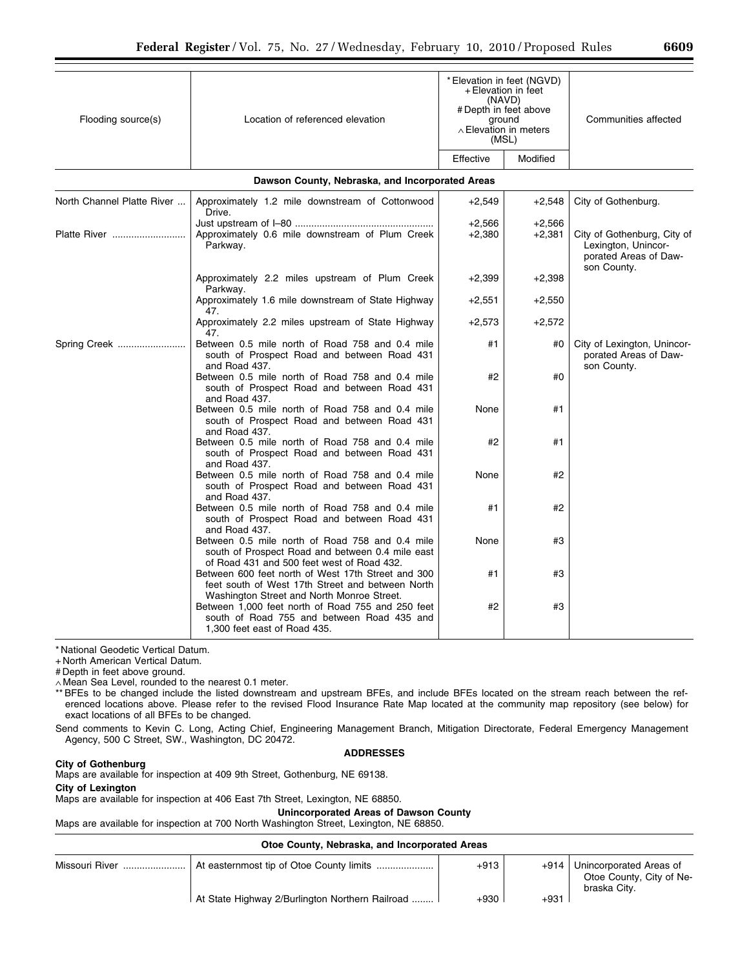| Flooding source(s)         | Location of referenced elevation                                                                                                                     | * Elevation in feet (NGVD)<br>+ Elevation in feet<br>(NAVD)<br># Depth in feet above<br>ground<br>$\land$ Elevation in meters<br>(MSL) |                      | Communities affected                                                                       |
|----------------------------|------------------------------------------------------------------------------------------------------------------------------------------------------|----------------------------------------------------------------------------------------------------------------------------------------|----------------------|--------------------------------------------------------------------------------------------|
|                            |                                                                                                                                                      | Effective                                                                                                                              | Modified             |                                                                                            |
|                            | Dawson County, Nebraska, and Incorporated Areas                                                                                                      |                                                                                                                                        |                      |                                                                                            |
| North Channel Platte River | Approximately 1.2 mile downstream of Cottonwood<br>Drive.                                                                                            | $+2,549$                                                                                                                               | $+2,548$             | City of Gothenburg.                                                                        |
| Platte River               | Approximately 0.6 mile downstream of Plum Creek<br>Parkway.                                                                                          | $+2,566$<br>$+2,380$                                                                                                                   | $+2,566$<br>$+2,381$ | City of Gothenburg, City of<br>Lexington, Unincor-<br>porated Areas of Daw-<br>son County. |
|                            | Approximately 2.2 miles upstream of Plum Creek<br>Parkway.                                                                                           | $+2,399$                                                                                                                               | $+2,398$             |                                                                                            |
|                            | Approximately 1.6 mile downstream of State Highway<br>47.                                                                                            | $+2,551$                                                                                                                               | $+2,550$             |                                                                                            |
|                            | Approximately 2.2 miles upstream of State Highway<br>47.                                                                                             | $+2,573$                                                                                                                               | $+2,572$             |                                                                                            |
| Spring Creek               | Between 0.5 mile north of Road 758 and 0.4 mile<br>south of Prospect Road and between Road 431<br>and Road 437.                                      | #1                                                                                                                                     | #0                   | City of Lexington, Unincor-<br>porated Areas of Daw-<br>son County.                        |
|                            | Between 0.5 mile north of Road 758 and 0.4 mile<br>south of Prospect Road and between Road 431<br>and Road 437.                                      | #2                                                                                                                                     | #0                   |                                                                                            |
|                            | Between 0.5 mile north of Road 758 and 0.4 mile<br>south of Prospect Road and between Road 431<br>and Road 437.                                      | None                                                                                                                                   | #1                   |                                                                                            |
|                            | Between 0.5 mile north of Road 758 and 0.4 mile<br>south of Prospect Road and between Road 431<br>and Road 437.                                      | #2                                                                                                                                     | #1                   |                                                                                            |
|                            | Between 0.5 mile north of Road 758 and 0.4 mile<br>south of Prospect Road and between Road 431<br>and Road 437.                                      | None                                                                                                                                   | #2                   |                                                                                            |
|                            | Between 0.5 mile north of Road 758 and 0.4 mile<br>south of Prospect Road and between Road 431<br>and Road 437.                                      | #1                                                                                                                                     | #2                   |                                                                                            |
|                            | Between 0.5 mile north of Road 758 and 0.4 mile<br>south of Prospect Road and between 0.4 mile east<br>of Road 431 and 500 feet west of Road 432.    | None                                                                                                                                   | #3                   |                                                                                            |
|                            | Between 600 feet north of West 17th Street and 300<br>feet south of West 17th Street and between North<br>Washington Street and North Monroe Street. | #1                                                                                                                                     | #3                   |                                                                                            |
|                            | Between 1,000 feet north of Road 755 and 250 feet<br>south of Road 755 and between Road 435 and<br>1,300 feet east of Road 435.                      | #2                                                                                                                                     | #3                   |                                                                                            |

+ North American Vertical Datum.

# Depth in feet above ground.

∧ Mean Sea Level, rounded to the nearest 0.1 meter.

\*\* BFEs to be changed include the listed downstream and upstream BFEs, and include BFEs located on the stream reach between the referenced locations above. Please refer to the revised Flood Insurance Rate Map located at the community map repository (see below) for exact locations of all BFEs to be changed.

Send comments to Kevin C. Long, Acting Chief, Engineering Management Branch, Mitigation Directorate, Federal Emergency Management Agency, 500 C Street, SW., Washington, DC 20472.

## **ADDRESSES**

**City of Gothenburg** 

Maps are available for inspection at 409 9th Street, Gothenburg, NE 69138. **City of Lexington** 

Maps are available for inspection at 406 East 7th Street, Lexington, NE 68850.

**Unincorporated Areas of Dawson County** 

Maps are available for inspection at 700 North Washington Street, Lexington, NE 68850.

## **Otoe County, Nebraska, and Incorporated Areas**

| Missouri River |                                                 | $+913$ | +914   | Unincorporated Areas of<br>Otoe County, City of Ne-<br>braska City. |
|----------------|-------------------------------------------------|--------|--------|---------------------------------------------------------------------|
|                | At State Highway 2/Burlington Northern Railroad | $+930$ | $+931$ |                                                                     |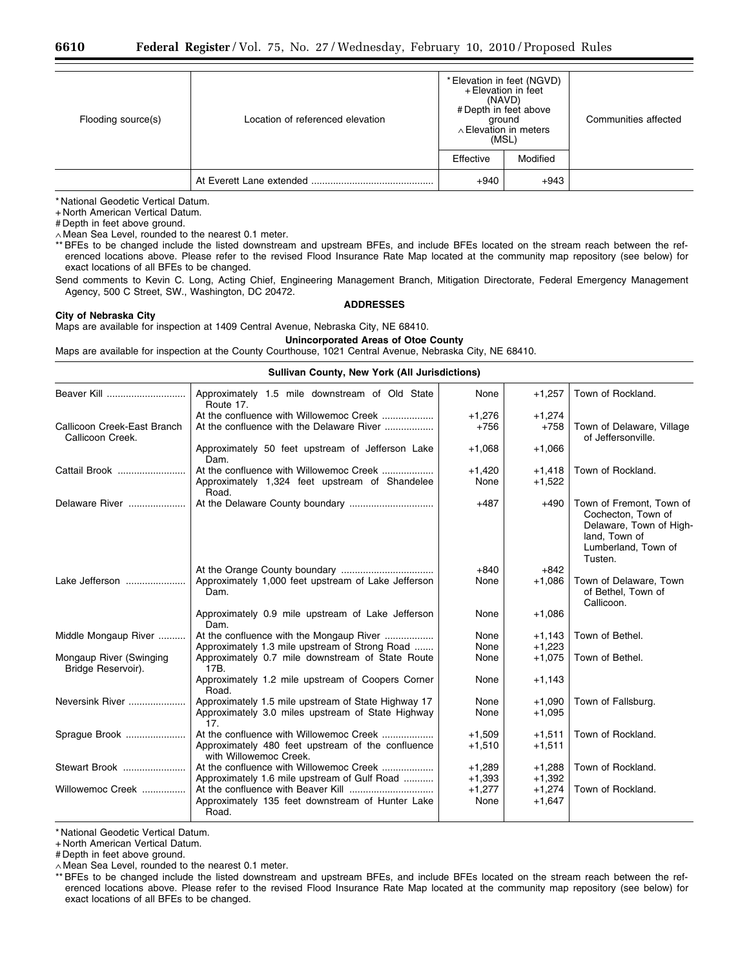| Flooding source(s) | Location of referenced elevation | * Elevation in feet (NGVD)<br>+ Elevation in feet<br>(NAVD)<br># Depth in feet above<br>ground<br>$\land$ Elevation in meters<br>(MSL) |          | Communities affected |  |
|--------------------|----------------------------------|----------------------------------------------------------------------------------------------------------------------------------------|----------|----------------------|--|
|                    |                                  | Effective                                                                                                                              | Modified |                      |  |
|                    |                                  | $+940$                                                                                                                                 | $+943$   |                      |  |

+ North American Vertical Datum.

# Depth in feet above ground.

∧ Mean Sea Level, rounded to the nearest 0.1 meter.

\*\* BFEs to be changed include the listed downstream and upstream BFEs, and include BFEs located on the stream reach between the referenced locations above. Please refer to the revised Flood Insurance Rate Map located at the community map repository (see below) for exact locations of all BFEs to be changed.

Send comments to Kevin C. Long, Acting Chief, Engineering Management Branch, Mitigation Directorate, Federal Emergency Management Agency, 500 C Street, SW., Washington, DC 20472.

### **City of Nebraska City**

### **ADDRESSES**

Maps are available for inspection at 1409 Central Avenue, Nebraska City, NE 68410.

**Unincorporated Areas of Otoe County** 

Maps are available for inspection at the County Courthouse, 1021 Central Avenue, Nebraska City, NE 68410.

#### **Sullivan County, New York (All Jurisdictions)**

| Beaver Kill                                     | Approximately 1.5 mile downstream of Old State<br>Route 17.                                        | None               | $+1,257$             | Town of Rockland.                                                                                                            |
|-------------------------------------------------|----------------------------------------------------------------------------------------------------|--------------------|----------------------|------------------------------------------------------------------------------------------------------------------------------|
| Callicoon Creek-East Branch<br>Callicoon Creek. | At the confluence with Willowemoc Creek<br>At the confluence with the Delaware River               | $+1,276$<br>$+756$ | $+1,274$<br>$+758$   | Town of Delaware, Village<br>of Jeffersonville.                                                                              |
|                                                 | Approximately 50 feet upstream of Jefferson Lake<br>Dam.                                           | $+1,068$           | $+1,066$             |                                                                                                                              |
| Cattail Brook                                   | At the confluence with Willowemoc Creek<br>Approximately 1,324 feet upstream of Shandelee<br>Road. | $+1,420$<br>None   | $+1,418$<br>$+1,522$ | Town of Rockland.                                                                                                            |
| Delaware River                                  |                                                                                                    | $+487$             | $+490$               | Town of Fremont. Town of<br>Cochecton, Town of<br>Delaware, Town of High-<br>land, Town of<br>Lumberland, Town of<br>Tusten. |
|                                                 |                                                                                                    | $+840$             | $+842$               |                                                                                                                              |
| Lake Jefferson                                  | Approximately 1,000 feet upstream of Lake Jefferson<br>Dam.                                        | None               | $+1,086$             | Town of Delaware, Town<br>of Bethel, Town of<br>Callicoon.                                                                   |
|                                                 | Approximately 0.9 mile upstream of Lake Jefferson<br>Dam.                                          | None               | $+1,086$             |                                                                                                                              |
| Middle Mongaup River                            | At the confluence with the Mongaup River                                                           | None               | $+1,143$             | Town of Bethel.                                                                                                              |
|                                                 | Approximately 1.3 mile upstream of Strong Road                                                     | None               | $+1,223$             |                                                                                                                              |
| Mongaup River (Swinging<br>Bridge Reservoir).   | Approximately 0.7 mile downstream of State Route<br>17B.                                           | None               | $+1,075$             | Town of Bethel.                                                                                                              |
|                                                 | Approximately 1.2 mile upstream of Coopers Corner<br>Road.                                         | None               | $+1,143$             |                                                                                                                              |
| Neversink River                                 | Approximately 1.5 mile upstream of State Highway 17                                                | None               | $+1.090$             | Town of Fallsburg.                                                                                                           |
|                                                 | Approximately 3.0 miles upstream of State Highway<br>17 <sub>1</sub>                               | None               | $+1,095$             |                                                                                                                              |
| Sprague Brook                                   | At the confluence with Willowemoc Creek                                                            | $+1,509$           | $+1,511$             | Town of Rockland.                                                                                                            |
|                                                 | Approximately 480 feet upstream of the confluence<br>with Willowemoc Creek.                        | $+1,510$           | $+1,511$             |                                                                                                                              |
| Stewart Brook                                   | At the confluence with Willowemoc Creek                                                            | $+1,289$           | $+1,288$             | Town of Rockland.                                                                                                            |
|                                                 | Approximately 1.6 mile upstream of Gulf Road                                                       | $+1,393$           | $+1,392$             |                                                                                                                              |
| Willowemoc Creek                                |                                                                                                    | $+1,277$           | $+1,274$             | Town of Rockland.                                                                                                            |
|                                                 | Approximately 135 feet downstream of Hunter Lake<br>Road.                                          | None               | $+1,647$             |                                                                                                                              |
|                                                 |                                                                                                    |                    |                      |                                                                                                                              |

\* National Geodetic Vertical Datum.

+ North American Vertical Datum.

# Depth in feet above ground.

∧ Mean Sea Level, rounded to the nearest 0.1 meter.

\*\* BFEs to be changed include the listed downstream and upstream BFEs, and include BFEs located on the stream reach between the referenced locations above. Please refer to the revised Flood Insurance Rate Map located at the community map repository (see below) for exact locations of all BFEs to be changed.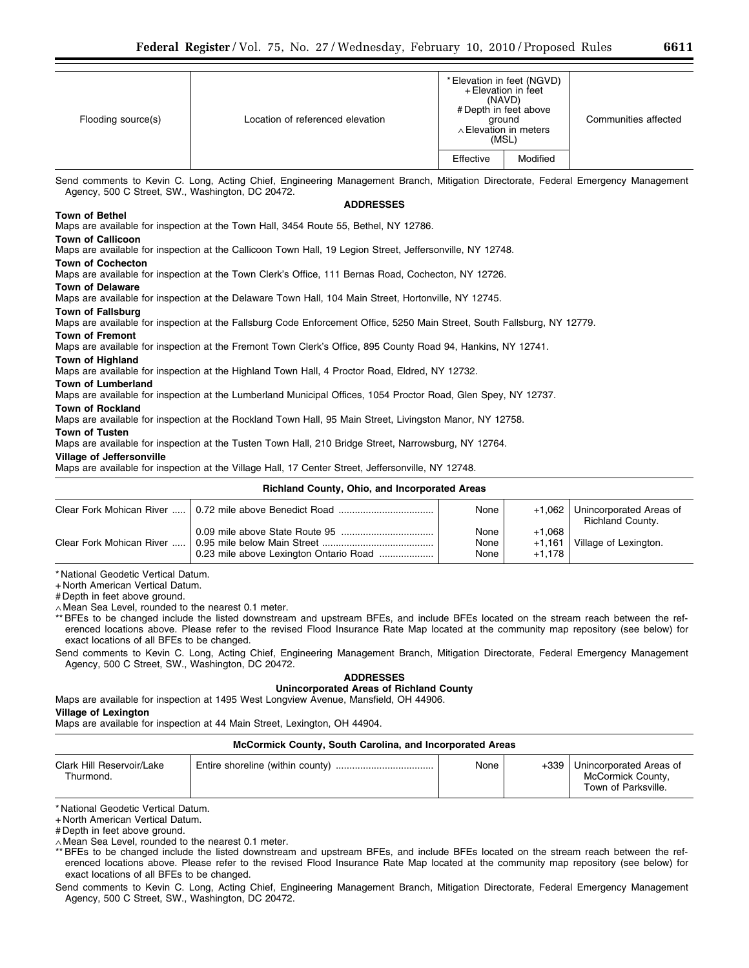| * Elevation in feet (NGVD)<br>+ Elevation in feet<br>(NAVD)<br># Depth in feet above                                             |  |
|----------------------------------------------------------------------------------------------------------------------------------|--|
| Location of referenced elevation<br>Communities affected<br>Flooding source(s)<br>around<br>$\land$ Elevation in meters<br>(MSL) |  |
| Modified<br>Effective                                                                                                            |  |

Send comments to Kevin C. Long, Acting Chief, Engineering Management Branch, Mitigation Directorate, Federal Emergency Management Agency, 500 C Street, SW., Washington, DC 20472.

### **ADDRESSES**

### **Town of Bethel**

Maps are available for inspection at the Town Hall, 3454 Route 55, Bethel, NY 12786.

### **Town of Callicoon**

Maps are available for inspection at the Callicoon Town Hall, 19 Legion Street, Jeffersonville, NY 12748.

#### **Town of Cochecton**

Maps are available for inspection at the Town Clerk's Office, 111 Bernas Road, Cochecton, NY 12726.

## **Town of Delaware**

Maps are available for inspection at the Delaware Town Hall, 104 Main Street, Hortonville, NY 12745.

### **Town of Fallsburg**

Maps are available for inspection at the Fallsburg Code Enforcement Office, 5250 Main Street, South Fallsburg, NY 12779.

### **Town of Fremont**

Maps are available for inspection at the Fremont Town Clerk's Office, 895 County Road 94, Hankins, NY 12741.

### **Town of Highland**

Maps are available for inspection at the Highland Town Hall, 4 Proctor Road, Eldred, NY 12732.

#### **Town of Lumberland**

Maps are available for inspection at the Lumberland Municipal Offices, 1054 Proctor Road, Glen Spey, NY 12737.

### **Town of Rockland**

Maps are available for inspection at the Rockland Town Hall, 95 Main Street, Livingston Manor, NY 12758.

### **Town of Tusten**

Maps are available for inspection at the Tusten Town Hall, 210 Bridge Street, Narrowsburg, NY 12764.

### **Village of Jeffersonville**

Maps are available for inspection at the Village Hall, 17 Center Street, Jeffersonville, NY 12748.

## **Richland County, Ohio, and Incorporated Areas**

|                          | None                 | $+1.062$                     | Unincorporated Areas of<br><b>Richland County.</b> |
|--------------------------|----------------------|------------------------------|----------------------------------------------------|
| Clear Fork Mohican River | None<br>None<br>None | $+1.068$<br>+1.161<br>+1.178 | Village of Lexington.                              |

\* National Geodetic Vertical Datum.

+ North American Vertical Datum.

# Depth in feet above ground.

∧ Mean Sea Level, rounded to the nearest 0.1 meter.

\*\* BFEs to be changed include the listed downstream and upstream BFEs, and include BFEs located on the stream reach between the referenced locations above. Please refer to the revised Flood Insurance Rate Map located at the community map repository (see below) for exact locations of all BFEs to be changed.

Send comments to Kevin C. Long, Acting Chief, Engineering Management Branch, Mitigation Directorate, Federal Emergency Management Agency, 500 C Street, SW., Washington, DC 20472.

## **ADDRESSES**

# **Unincorporated Areas of Richland County**

Maps are available for inspection at 1495 West Longview Avenue, Mansfield, OH 44906. **Village of Lexington** 

Maps are available for inspection at 44 Main Street, Lexington, OH 44904.

### **McCormick County, South Carolina, and Incorporated Areas**

| Clark Hill Reservoir/Lake<br>Thurmond. | None | $+339$ | Unincorporated Areas of<br>McCormick County,<br>Town of Parksville. |
|----------------------------------------|------|--------|---------------------------------------------------------------------|
|----------------------------------------|------|--------|---------------------------------------------------------------------|

\* National Geodetic Vertical Datum.

+ North American Vertical Datum.

# Depth in feet above ground.

∧ Mean Sea Level, rounded to the nearest 0.1 meter.

\*\* BFEs to be changed include the listed downstream and upstream BFEs, and include BFEs located on the stream reach between the referenced locations above. Please refer to the revised Flood Insurance Rate Map located at the community map repository (see below) for exact locations of all BFEs to be changed.

Send comments to Kevin C. Long, Acting Chief, Engineering Management Branch, Mitigation Directorate, Federal Emergency Management Agency, 500 C Street, SW., Washington, DC 20472.